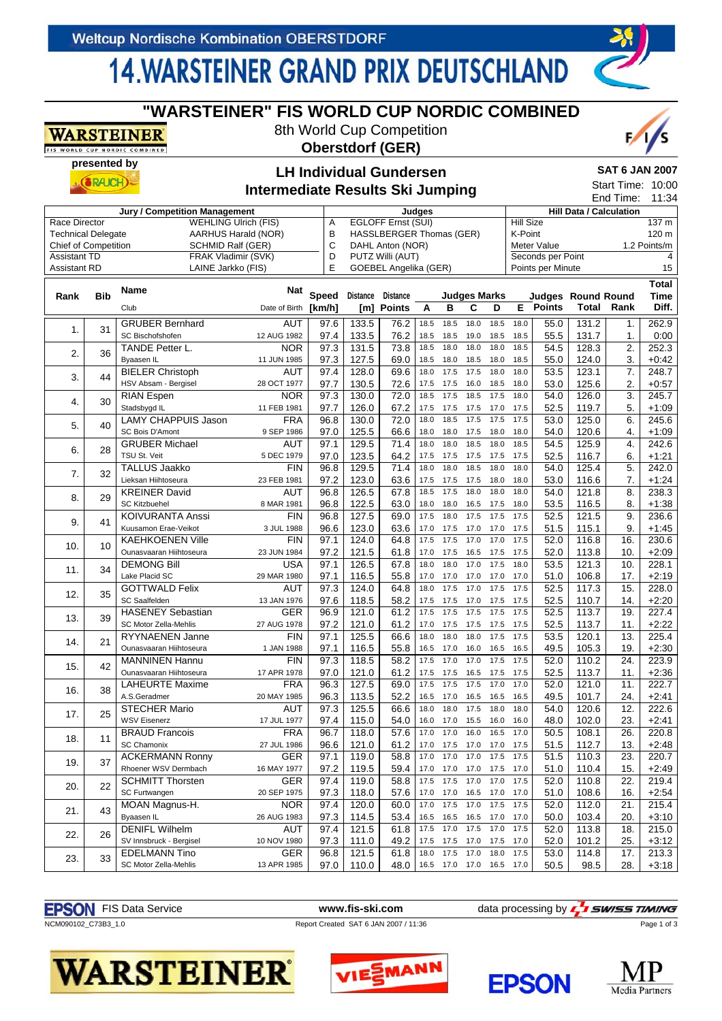WARSTEINER IS WORLD CUP NORDIC COMBINE

# **14 WARSTEINER GRAND PRIX DEUTSCHLAND**

**"WARSTEINER" FIS WORLD CUP NORDIC COMBINED** 8th World Cup Competition **Oberstdorf (GER)**

#### **presented by SAT 6 JAN 2007 LH Individual Gundersen**  $(SRAICH)$ Start Time: 10:00 **Intermediate Results Ski Jumping** End Time: 11:34 **Jury / Competition Management Judges** Hill Data / Calculation<br>WEHLING LIIrich (FIS) A EGLOFE Ernst (SLII) Hill Size Race Director WEHLING Ulrich (FIS) A EGLOFF Ernst (SUI)  $\frac{137 \text{ m}}{250 \text{ m}}$ Technical Delegate **AARHUS Harald (NOR)** B HASSLBERGER Thomas (GER) K-Point 120 m Chief of Competition SCHMID Ralf (GER) C DAHL Anton (NOR) Meter Value 1.2 Points/m **Assistant TD FRAK Vladimir (SVK)** D PUTZ Willi (AUT) Seconds per Point 4 Assistant RD LAINE Jarkko (FIS) E GOEBEL Angelika (GER) Points per Minute 15 **Total Rank Bib Name Nat Speed Distance Distance Judges Marks Time Judges Round Round Rank** Club Date of Birth **[km/h] [m] Points ABCDE Points Total Diff.** 1. 31 GRUBER Bernhard AUT 262.9 97.6 | 133.5 | 76.2 | 18.5 18.5 18.0 18.5 18.0 | 55.0 | 131.2 | 1. SC Bischofshofen 0:00 97.4 | 133.5 | 76.2 | 18.5 18.5 19.0 18.5 18.5 | 55.5 | 131.7 | 1. 2. 36 TANDE Petter L. NOR<br>Byaasen IL 11 JUN 1985 252.3 97.3 | 131.5 | 73.8 | 18.5 18.0 18.0 18.0 18.5 | 54.5 | 128.3 | 2.  $+0:42$ 11 JUN 1985 97.3 | 127.5 | 69.0 | 18.5 18.0 18.5 18.0 18.5 | 55.0 | 124.0 | 3. 3. 44 BIELER Christoph AUT 97.4 | 128.0 | 69.6 | 18.0 17.5 17.5 18.0 18.0 | 53.5 | 123.1 | 7. 248.7 HSV Absam - Bergisel 97.7 | 130.5 | 72.6 | 17.5 17.5 16.0 18.5 18.0 | 53.0 | 125.6 | 2. +0:57 4. 30 RIAN Espen NOR<br>Stadsbygd IL 11 FEB 1981 245.7 97.3 | 130.0 | 72.0 | 18.5 17.5 18.5 17.5 18.0 | 54.0 | 126.0 | 3. Stadsbygd IL 97.7 | 126.0 | 67.2 | 17.5 17.5 17.5 17.0 17.5 | 52.5 | 119.7 | 5. +1:09 5. 40 LAMY CHAPPUIS Jason FRA<br>SC Bois D'Amont 9 SEP 1986 245.6 96.8 | 130.0 | 72.0 | 18.0 18.5 17.5 17.5 17.5 | 53.0 | 125.0 | 6. SC Bois D'Amont +1:09 97.0 | 125.5 | 66.6 | 18.0 18.0 17.5 18.0 18.0 | 54.0 | 120.6 | 4. 6. 28 GRUBER Michael AUT 97.1 | 129.5 | 71.4 | 18.0 18.0 18.5 18.0 18.5 | 54.5 | 125.9 | 4. 242.6 5 DEC 1979  $+1:21$ 97.0 | 123.5 | 64.2 | 17.5 17.5 17.5 17.5 17.5 | 52.5 | 116.7 | 6. 7. 32 TALLUS Jaakko FIN<br>Lieksan Hiihtoseura 23 FEB 1981 242.0 96.8 | 129.5 | 71.4 | 18.0 18.0 18.5 18.0 18.0 | 54.0 | 125.4 | 5. Lieksan Hiihtoseura +1:24 97.2 | 123.0 | 63.6 | 17.5 17.5 17.5 18.0 18.0 | 53.0 | 116.6 | 7. 8. 29 KREINER David AUT 96.8 | 126.5 | 67.8 | 18.5 17.5 18.0 18.0 18.0 | 54.0 | 121.8 | 8. 238.3 SC Kitzbuehel +1:38 96.8 | 122.5 | 63.0 | 18.0 18.0 16.5 17.5 18.0 | 53.5 | 116.5 | 8. 9. 41 KOIVURANTA Anssi FIN<br>Kuusamon Erae-Veikot 3 JUL 1988 236.6 96.8 | 127.5 | 69.0 | 17.5 18.0 17.5 17.5 17.5 | 52.5 | 121.5 | 9. Kuusamon Erae-Veikot  $+1.45$ 96.6 | 123.0 | 63.6 | 17.0 17.5 17.0 17.0 17.5 | 51.5 | 115.1 | 9. 10. 10 KAEHKOENEN Ville FIN<br>
Ounasvaaran Hiihtoseura 23 JUN 1984 230.6 97.1 | 124.0 | 64.8 | 17.5 17.5 17.0 17.0 17.5 |  $52.0$  |  $\,$  116.8 | 16. Ounasvaaran Hiihtoseura 23 JUN 1984 +2:09 97.2 | 121.5 | 61.8 | 17.0 17.5 16.5 17.5 17.5 | 52.0 | 113.8 | 10. 11. 34 DEMONG Bill USA<br>
Lake Placid SC 29 MAR 1980 97.1 | 126.5 | 67.8 | 18.0 18.0 17.0 17.5 18.0 |  $53.5$  |  $\,$  121.3 | 10. 228.1 Lake Placid SC 97.1 | 116.5 | 55.8 | 17.0 17.0 17.0 17.0 | 7.0 | 51.0 | 106.8 | 17.  $+2.19$ 12. 35 GOTTWALD Felix AUT 228.0 97.3 | 124.0 | 64.8 | 18.0 17.5 17.0 17.5 17.5 | 52.5 | 117.3 | 15. SC Saalfelden 97.6 | 118.5 | 58.2 | 17.5 17.5 17.0 17.5 17.5 | 52.5 | 110.7 | 14.  $+2.20$ 13. 39 HASENEY Sebastian GER<br>SC Motor Zella-Mehlis 27 AUG 1978 227.4 96.9 | 121.0 | 61.2 | 17.5 17.5 17.5 17.5 17.5 | 52.5 | 113.7 | 19. SC Motor Zella-Mehlis 97.2 | 121.0 | 61.2 | 17.0 17.5 17.5 17.5 17.5 | 52.5 | 113.7 | 11. +2:22 14. 21 RYYNAENEN Janne FIN<br>
Ounasyaaran Hiihtoseura 1.1AN 1988 225.4 97.1 | 125.5 | 66.6 | 18.0 18.0 18.0 17.5 17.5 | 53.5 | 120.1 | 13. Ounasvaaran Hiihtoseura 97.1 | 116.5 | 55.8 | 16.5 17.0 16.0 16.5 16.5 | 49.5 | 105.3 | 19.  $+2.30$ 15. 42 MANNINEN Hannu FIN<br>
Ounasyaaran Hiihtoseura 17 APR 1978  $223.9$ 97.3 | 118.5 | 58.2 | 17.5 17.0 17.0 17.5 17.5 | 52.0 | 110.2 | 24. Ounasyaaran Hiihtoseura +2:36 97.0 | 121.0 | 61.2 | 17.5 17.5 16.5 17.5 17.5 | 52.5 | 113.7 | 11. 16. 38 LAHEURTE Maxime FRA<br>A.S.Geradmer 20 MAY 1985 222.7 96.3 | 127.5 | 69.0 | 17.5 17.5 17.5 17.0 17.0 | 52.0 | 121.0 | 11. 20 MAY 1985 +2:41 96.3 | 113.5 | 52.2 | 16.5 17.0 16.5 16.5 16.5 | 49.5 | 101.7 | 24. 17. 25 STECHER Mario AUT 222.6 97.3 | 125.5 | 66.6 | 18.0 18.0 17.5 18.0 18.0 | 54.0 | 120.6 | 12. WSV Eisenerz +2:41 97.4 | 115.0 | 54.0 | 16.0 17.0 15.5 16.0 16.0 | 48.0 | 102.0 | 23. 18. 11 BRAUD Francois FRA<br>SC Chamonix 27 JUL 1986 220.8 96.7 | 118.0 | 57.6 | 17.0 17.0 16.0 16.5 17.0 | 50.5 | 108.1 | 26. SC Chamonix +2:48 96.6 | 121.0 | 61.2 | 17.0 17.5 17.0 17.0 17.5 | 51.5 | 112.7 | 13. 19. 37 ACKERMANN Ronny GER<br>
Rhoener WSV Dermbach 16 MAY 1977 97.1 | 119.0 | 58.8 | 17.0 17.0 17.0 17.5 17.5 | 51.5 | 110.3 | 23. 220.7 Rhoener WSV Dermbach +2:49 97.2 | 119.5 | 59.4 | 17.0 17.0 17.0 17.5 17.0 | 51.0 | 110.4 | 15. 20. 22 SCHMITT Thorsten GER<br>SC Furtwangen 20 SEP 1975 97.4 | 119.0 | 58.8 | 17.5 17.5 17.0 17.0 17.5 | 52.0 | 110.8 | 22. 219.4 SC Furtwangen  $+2.54$ 97.3 | 118.0 | 57.6 | 17.0 17.0 16.5 17.0 17.0 | 51.0 | 108.6 | 16. 21. 43 MOAN Magnus-H. NOR<br>
Byaasen IL 26 AUG 1983 215.4 97.4 120.0 60.0 17.0 17.5 17.0 17.5 17.5 52.0 112.0 21. 26 AUG 1983  $+3:10$ 97.3 | 114.5 | 53.4 | 16.5 16.5 16.5 17.0 17.0 | 50.0 | 103.4 | 20. 22. 26 DENIFL Wilhelm AUT 215.0 97.4 | 121.5 | 61.8 | 17.5 17.0 17.5 17.0 17.5 | 52.0 | 113.8 | 18. SV Innsbruck - Bergisel +3:12 97.3 111.0 49.2 17.5 17.5 17.0 17.5 17.0 52.0 101.2 25. 23. 33 EDELMANN Tino GER<br>
SC Motor Zella-Mehlis 13 APR 1985 213.3 96.8 | 121.5 | 61.8 | 18.0 17.5 17.0 18.0 17.5 |  $53.0$  |  $\,$  114.8 | 17. SC Motor Zella-Mehlis +3:18 97.0 | 110.0 | 48.0 | 16.5 17.0 17.0 16.5 17.0 | 50.5 | 98.5 | 28.



*SWISS TIMING* 

Page 1 of 3







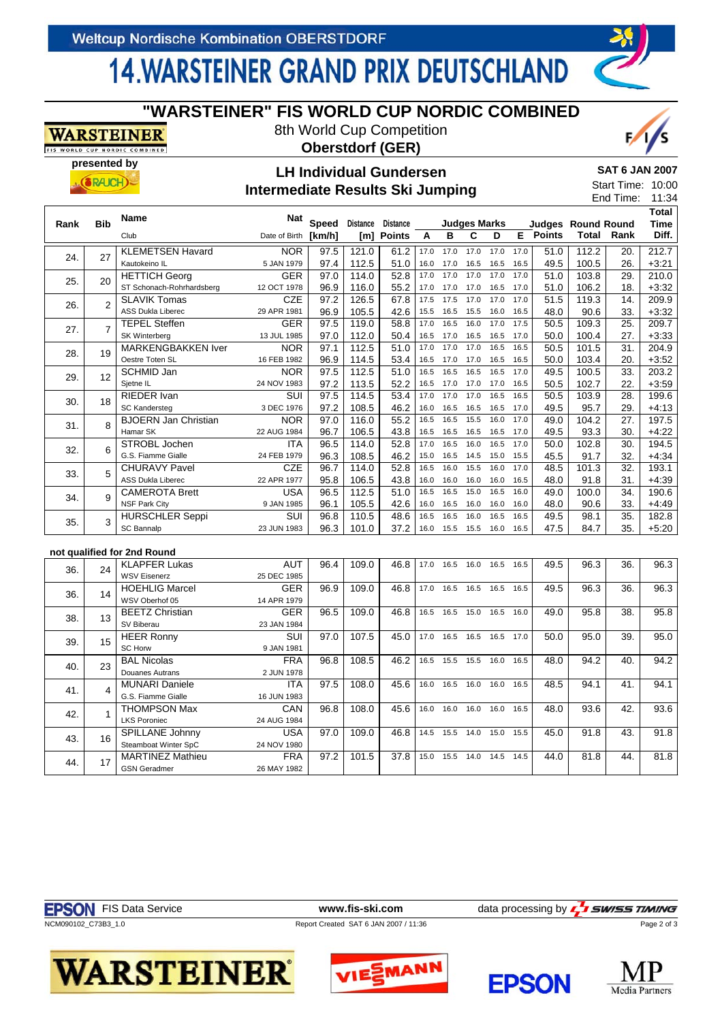# **14. WARSTEINER GRAND PRIX DEUTSCHLAND**

## **"WARSTEINER" FIS WORLD CUP NORDIC COMBINED**

8th World Cup Competition



ORLD CUP NORDIC COMBINED **presented by**

**WARSTEINER** 

## **Oberstdorf (GER) LH Individual Gundersen**

#### **SAT 6 JAN 2007**

 $Q$ 

#### $\overline{0}$  $\overline{A}$  $\mathbf{S}$  start Time:

|      | $\bullet$ $\bullet$ $\bullet$ |                                                   | <b>Intermediate Results Ski Jumping</b> |                        |                        |                                  |              |                   |                          |              |              |               | Start Time:<br>End Time:           |            | 10:0<br>11:3                         |
|------|-------------------------------|---------------------------------------------------|-----------------------------------------|------------------------|------------------------|----------------------------------|--------------|-------------------|--------------------------|--------------|--------------|---------------|------------------------------------|------------|--------------------------------------|
| Rank | <b>Bib</b>                    | <b>Name</b><br>Club                               | Nat<br>Date of Birth                    | <b>Speed</b><br>[km/h] | <b>Distance</b><br>[m] | <b>Distance</b><br><b>Points</b> | A            | в                 | <b>Judges Marks</b><br>C | D            | E.           | <b>Points</b> | <b>Judges Round Round</b><br>Total | Rank       | <b>Total</b><br><b>Time</b><br>Diff. |
| 24.  | 27                            | <b>KLEMETSEN Havard</b><br>Kautokeino IL          | <b>NOR</b><br>5 JAN 1979                | 97.5<br>97.4           | 121.0<br>112.5         | 61.2<br>51.0                     | 17.0<br>16.0 | 17.0<br>17.0      | 17.0<br>16.5             | 17.0<br>16.5 | 17.0<br>16.5 | 51.0<br>49.5  | 112.2<br>100.5                     | 20.<br>26. | 212.7<br>$+3:21$                     |
| 25.  | 20                            | <b>HETTICH Georg</b><br>ST Schonach-Rohrhardsberg | <b>GER</b><br>12 OCT 1978               | 97.0<br>96.9           | 114.0<br>116.0         | 52.8<br>55.2                     | 17.0<br>17.0 | 17.0<br>17.0      | 17.0<br>17.0             | 17.0<br>16.5 | 17.0<br>17.0 | 51.0<br>51.0  | 103.8<br>106.2                     | 29.<br>18. | 210.0<br>$+3:32$                     |
| 26.  | $\mathfrak{p}$                | <b>SLAVIK Tomas</b><br><b>ASS Dukla Liberec</b>   | <b>CZE</b><br>29 APR 1981               | 97.2<br>96.9           | 126.5<br>105.5         | 67.8<br>42.6                     | 17.5<br>15.5 | 17.5<br>16.5      | 17.0<br>15.5             | 17.0<br>16.0 | 17.0<br>16.5 | 51.5<br>48.0  | 119.3<br>90.6                      | 14.<br>33. | 209.9<br>$+3:32$                     |
| 27.  |                               | <b>TEPEL Steffen</b><br><b>SK Winterberg</b>      | <b>GER</b><br>13 JUL 1985               | 97.5<br>97.0           | 119.0<br>112.0         | 58.8<br>50.4                     | 17.0<br>16.5 | 16.5<br>17.0      | 16.0<br>16.5             | 17.0<br>16.5 | 17.5<br>17.0 | 50.5<br>50.0  | 109.3<br>100.4                     | 25.<br>27. | 209.7<br>$+3:33$                     |
| 28.  | 19                            | <b>MARKENGBAKKEN Iver</b><br>Oestre Toten SL      | <b>NOR</b><br>16 FEB 1982               | 97.1<br>96.9           | 112.5<br>114.5         | 51.0<br>53.4                     | 17.0<br>16.5 | 17.0<br>17.0      | 17.0<br>17.0             | 16.5<br>16.5 | 16.5<br>16.5 | 50.5<br>50.0  | 101.5<br>103.4                     | 31.<br>20. | 204.9<br>$+3:52$                     |
| 29.  | 12                            | SCHMID Jan<br>Sjetne IL                           | <b>NOR</b><br>24 NOV 1983               | 97.5<br>97.2           | 112.5<br>113.5         | 51.0<br>52.2                     | 16.5<br>16.5 | 16.5<br>17.0      | 16.5<br>17.0             | 16.5<br>17.0 | 17.0<br>16.5 | 49.5<br>50.5  | 100.5<br>102.7                     | 33.<br>22. | 203.2<br>$+3:59$                     |
| 30.  | 18                            | <b>RIEDER Ivan</b><br><b>SC Kandersteg</b>        | SUI<br>3 DEC 1976                       | 97.5<br>97.2           | 114.5<br>108.5         | 53.4<br>46.2                     | 17.0<br>16.0 | 17.0<br>16.5      | 17.0<br>16.5             | 16.5<br>16.5 | 16.5<br>17.0 | 50.5<br>49.5  | 103.9<br>95.7                      | 28.<br>29. | 199.6<br>$+4:13$                     |
| 31.  | $\mathsf{R}$                  | <b>BJOERN Jan Christian</b><br>Hamar SK           | <b>NOR</b><br>22 AUG 1984               | 97.0<br>96.7           | 116.0<br>106.5         | 55.2<br>43.8                     | 16.5<br>16.5 | 16.5<br>16.5      | 15.5<br>16.5             | 16.0<br>16.5 | 17.0<br>17.0 | 49.0<br>49.5  | 104.2<br>93.3                      | 27.<br>30. | 197.5<br>$+4:22$                     |
| 32.  | 6                             | STROBL Jochen<br>G.S. Fiamme Gialle               | <b>ITA</b><br>24 FEB 1979               | 96.5<br>96.3           | 114.0<br>108.5         | 52.8<br>46.2                     | 17.0<br>15.0 | 16.5<br>16.5      | 16.0<br>14.5             | 16.5<br>15.0 | 17.0<br>15.5 | 50.0<br>45.5  | 102.8<br>91.7                      | 30.<br>32. | 194.5<br>$+4:34$                     |
| 33.  |                               | <b>CHURAVY Pavel</b><br><b>ASS Dukla Liberec</b>  | <b>CZE</b><br>22 APR 1977               | 96.7<br>95.8           | 114.0<br>106.5         | 52.8<br>43.8                     | 16.5<br>16.0 | 16.0<br>16.0      | 15.5<br>16.0             | 16.0<br>16.0 | 17.0<br>16.5 | 48.5<br>48.0  | 101.3<br>91.8                      | 32.<br>31. | 193.1<br>$+4:39$                     |
| 34.  | q                             | <b>CAMEROTA Brett</b><br><b>NSF Park City</b>     | <b>USA</b><br>9 JAN 1985                | 96.5<br>96.1           | 112.5<br>105.5         | 51.0<br>42.6                     | 16.5<br>16.0 | 16.5<br>16.5      | 15.0<br>16.0             | 16.5<br>16.0 | 16.0<br>16.0 | 49.0<br>48.0  | 100.0<br>90.6                      | 34.<br>33. | 190.6<br>$+4:49$                     |
| 35.  | 3                             | <b>HURSCHLER Seppi</b><br>SC Bannalp              | SUI<br>23 JUN 1983                      | 96.8<br>96.3           | 110.5<br>101.0         | 48.6<br>37.2                     | 16.5<br>16.0 | 16.5<br>15.5 15.5 | 16.0                     | 16.5<br>16.0 | 16.5<br>16.5 | 49.5<br>47.5  | 98.1<br>84.7                       | 35.<br>35. | 182.8<br>$+5:20$                     |

### **not qualified for 2nd Round**

| 36. | 24 | <b>KLAPFER Lukas</b>    | <b>AUT</b>  | 96.4 | 109.0 | 46.8 | 17.0 | 16.5 | 16.0 | 16.5 | 16.5 | 49.5 | 96.3 | 36. | 96.3 |
|-----|----|-------------------------|-------------|------|-------|------|------|------|------|------|------|------|------|-----|------|
|     |    | <b>WSV Eisenerz</b>     | 25 DEC 1985 |      |       |      |      |      |      |      |      |      |      |     |      |
| 36. | 14 | <b>HOEHLIG Marcel</b>   | <b>GER</b>  | 96.9 | 109.0 | 46.8 | 17.0 | 16.5 | 16.5 | 16.5 | 16.5 | 49.5 | 96.3 | 36. | 96.3 |
|     |    | WSV Oberhof 05          | 14 APR 1979 |      |       |      |      |      |      |      |      |      |      |     |      |
| 38. | 13 | <b>BEETZ Christian</b>  | <b>GER</b>  | 96.5 | 109.0 | 46.8 | 16.5 | 16.5 | 15.0 | 16.5 | 16.0 | 49.0 | 95.8 | 38. | 95.8 |
|     |    | SV Biberau              | 23 JAN 1984 |      |       |      |      |      |      |      |      |      |      |     |      |
| 39. | 15 | <b>HEER Ronny</b>       | SUI         | 97.0 | 107.5 | 45.0 | 17.0 | 16.5 | 16.5 | 16.5 | 17.0 | 50.0 | 95.0 | 39. | 95.0 |
|     |    | <b>SC Horw</b>          | 9 JAN 1981  |      |       |      |      |      |      |      |      |      |      |     |      |
| 40. | 23 | <b>BAL Nicolas</b>      | <b>FRA</b>  | 96.8 | 108.5 | 46.2 | 16.5 | 15.5 | 15.5 | 16.0 | 16.5 | 48.0 | 94.2 | 40. | 94.2 |
|     |    | <b>Douanes Autrans</b>  | 2 JUN 1978  |      |       |      |      |      |      |      |      |      |      |     |      |
| 41. | 4  | <b>MUNARI Daniele</b>   | <b>ITA</b>  | 97.5 | 108.0 | 45.6 | 16.0 | 16.5 | 16.0 | 16.0 | 16.5 | 48.5 | 94.1 | 41. | 94.1 |
|     |    | G.S. Fiamme Gialle      | 16 JUN 1983 |      |       |      |      |      |      |      |      |      |      |     |      |
| 42. |    | <b>THOMPSON Max</b>     | <b>CAN</b>  | 96.8 | 108.0 | 45.6 | 16.0 | 16.0 | 16.0 | 16.0 | 16.5 | 48.0 | 93.6 | 42. | 93.6 |
|     |    | <b>LKS Poroniec</b>     | 24 AUG 1984 |      |       |      |      |      |      |      |      |      |      |     |      |
| 43. | 16 | SPILLANE Johnny         | <b>USA</b>  | 97.0 | 109.0 | 46.8 | 14.5 | 15.5 | 14.0 | 15.0 | 15.5 | 45.0 | 91.8 | 43. | 91.8 |
|     |    | Steamboat Winter SpC    | 24 NOV 1980 |      |       |      |      |      |      |      |      |      |      |     |      |
| 44. | 17 | <b>MARTINEZ Mathieu</b> | <b>FRA</b>  | 97.2 | 101.5 | 37.8 | 15.0 | 15.5 | 14.0 | 14.5 | 14.5 | 44.0 | 81.8 | 44. | 81.8 |
|     |    | <b>GSN Geradmer</b>     | 26 MAY 1982 |      |       |      |      |      |      |      |      |      |      |     |      |